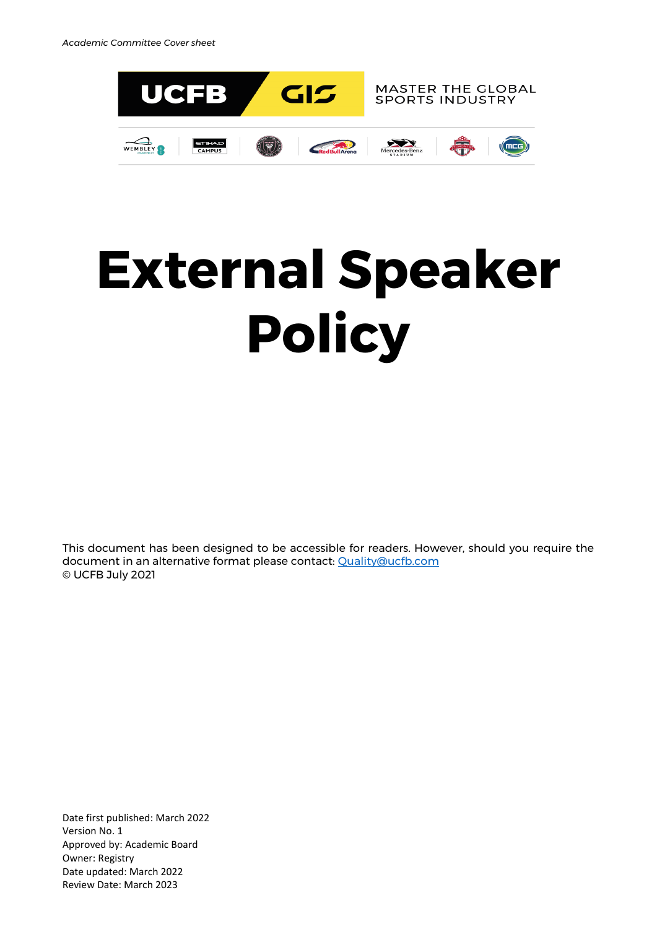

# **External Speaker Policy**

This document has been designed to be accessible for readers. However, should you require the document in an alternative format please contact: [Quality@ucfb.com](mailto:Quality@ucfb.com) © UCFB July 2021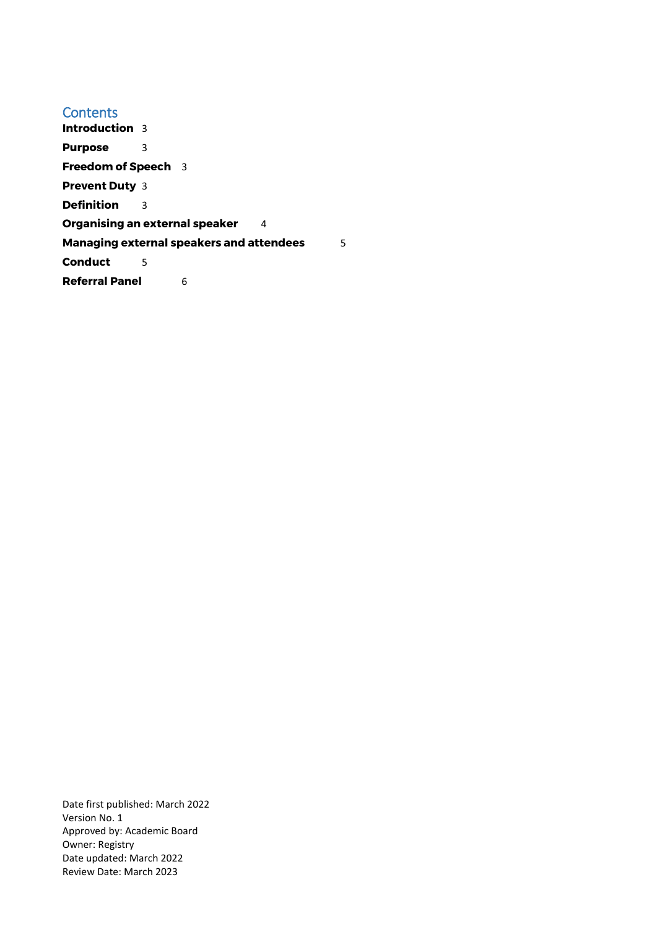**Contents [Introduction](#page-2-0)** 3 **[Purpose](#page-2-1)** 3 **[Freedom of Speech](#page-2-2)** 3 **[Prevent Duty](#page-2-3)** 3 **[Definition](#page-2-4)** 3 **[Organising an external speaker](#page-3-0)** 4 **[Managing external speakers and attendees](#page-4-0)** 5 **[Conduct](#page-4-1)** 5 **[Referral Panel](#page-5-0)** 6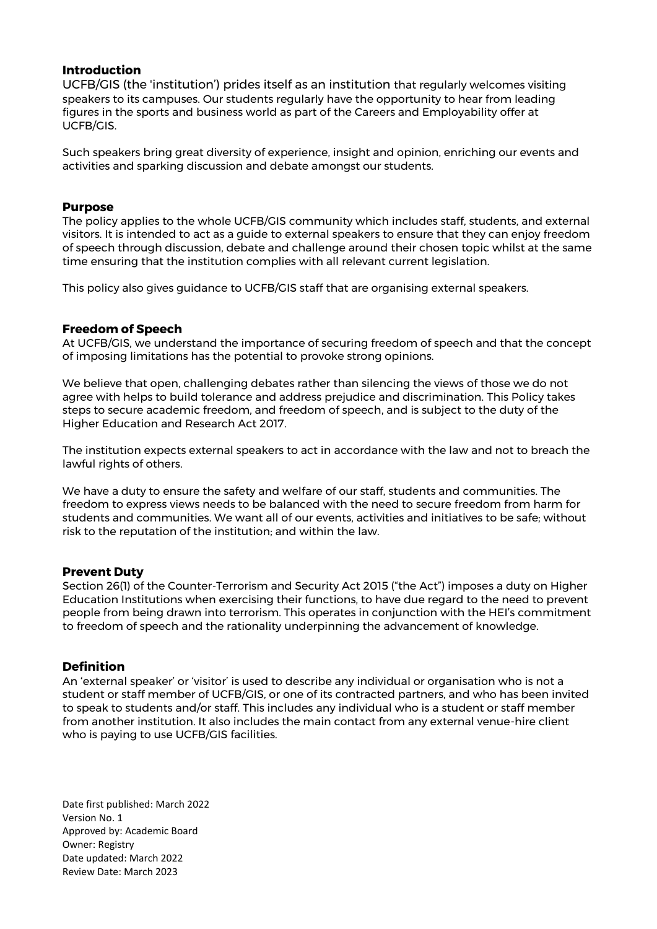# <span id="page-2-0"></span>**Introduction**

UCFB/GIS (the 'institution') prides itself as an institution that regularly welcomes visiting speakers to its campuses. Our students regularly have the opportunity to hear from leading figures in the sports and business world as part of the Careers and Employability offer at UCFB/GIS.

<span id="page-2-1"></span>Such speakers bring great diversity of experience, insight and opinion, enriching our events and activities and sparking discussion and debate amongst our students.

### **Purpose**

The policy applies to the whole UCFB/GIS community which includes staff, students, and external visitors. It is intended to act as a guide to external speakers to ensure that they can enjoy freedom of speech through discussion, debate and challenge around their chosen topic whilst at the same time ensuring that the institution complies with all relevant current legislation.

<span id="page-2-2"></span>This policy also gives guidance to UCFB/GIS staff that are organising external speakers.

#### **Freedom of Speech**

At UCFB/GIS, we understand the importance of securing freedom of speech and that the concept of imposing limitations has the potential to provoke strong opinions.

We believe that open, challenging debates rather than silencing the views of those we do not agree with helps to build tolerance and address prejudice and discrimination. This Policy takes steps to secure academic freedom, and freedom of speech, and is subject to the duty of the Higher Education and Research Act 2017.

The institution expects external speakers to act in accordance with the law and not to breach the lawful rights of others.

We have a duty to ensure the safety and welfare of our staff, students and communities. The freedom to express views needs to be balanced with the need to secure freedom from harm for students and communities. We want all of our events, activities and initiatives to be safe; without risk to the reputation of the institution; and within the law.

#### <span id="page-2-3"></span>**Prevent Duty**

Section 26(1) of the Counter-Terrorism and Security Act 2015 ("the Act") imposes a duty on Higher Education Institutions when exercising their functions, to have due regard to the need to prevent people from being drawn into terrorism. This operates in conjunction with the HEI's commitment to freedom of speech and the rationality underpinning the advancement of knowledge.

# <span id="page-2-4"></span>**Definition**

An 'external speaker' or 'visitor' is used to describe any individual or organisation who is not a student or staff member of UCFB/GIS, or one of its contracted partners, and who has been invited to speak to students and/or staff. This includes any individual who is a student or staff member from another institution. It also includes the main contact from any external venue-hire client who is paying to use UCFB/GIS facilities.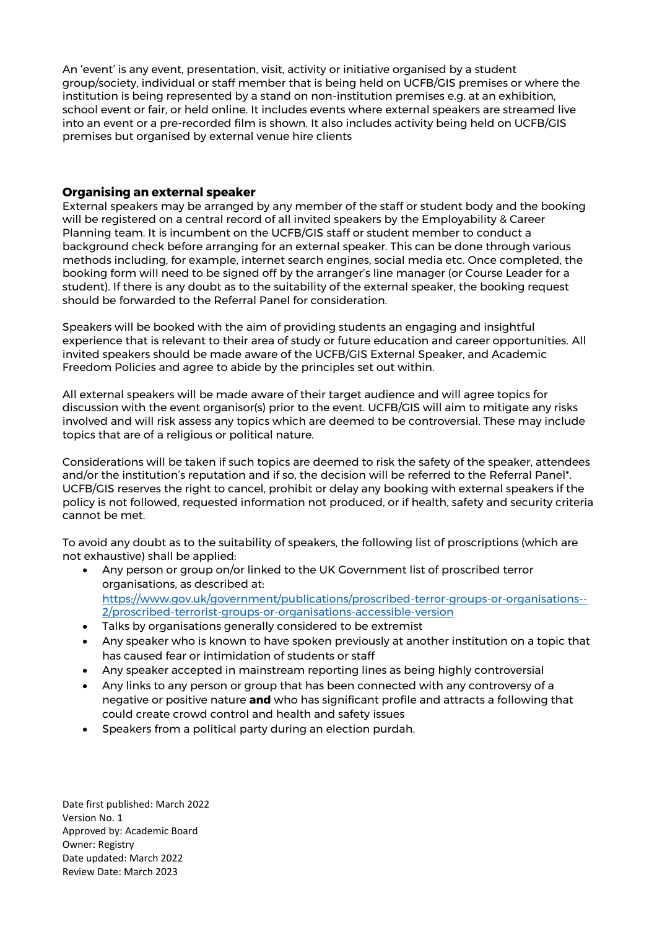An 'event' is any event, presentation, visit, activity or initiative organised by a student group/society, individual or staff member that is being held on UCFB/GIS premises or where the institution is being represented by a stand on non-institution premises e.g. at an exhibition, school event or fair, or held online. It includes events where external speakers are streamed live into an event or a pre-recorded film is shown. It also includes activity being held on UCFB/GIS premises but organised by external venue hire clients

### <span id="page-3-0"></span>**Organising an external speaker**

External speakers may be arranged by any member of the staff or student body and the booking will be registered on a central record of all invited speakers by the Employability & Career Planning team. It is incumbent on the UCFB/GIS staff or student member to conduct a background check before arranging for an external speaker. This can be done through various methods including, for example, internet search engines, social media etc. Once completed, the booking form will need to be signed off by the arranger's line manager (or Course Leader for a student). If there is any doubt as to the suitability of the external speaker, the booking request should be forwarded to the Referral Panel for consideration.

Speakers will be booked with the aim of providing students an engaging and insightful experience that is relevant to their area of study or future education and career opportunities. All invited speakers should be made aware of the UCFB/GIS External Speaker, and Academic Freedom Policies and agree to abide by the principles set out within.

All external speakers will be made aware of their target audience and will agree topics for discussion with the event organisor(s) prior to the event. UCFB/GIS will aim to mitigate any risks involved and will risk assess any topics which are deemed to be controversial. These may include topics that are of a religious or political nature.

Considerations will be taken if such topics are deemed to risk the safety of the speaker, attendees and/or the institution's reputation and if so, the decision will be referred to the Referral Panel\*. UCFB/GIS reserves the right to cancel, prohibit or delay any booking with external speakers if the policy is not followed, requested information not produced, or if health, safety and security criteria cannot be met.

To avoid any doubt as to the suitability of speakers, the following list of proscriptions (which are not exhaustive) shall be applied:

- Any person or group on/or linked to the UK Government list of proscribed terror organisations, as described at: [https://www.gov.uk/government/publications/proscribed-terror-groups-or-organisations--](https://www.gov.uk/government/publications/proscribed-terror-groups-or-organisations--2/proscribed-terrorist-groups-or-organisations-accessible-version) [2/proscribed-terrorist-groups-or-organisations-accessible-version](https://www.gov.uk/government/publications/proscribed-terror-groups-or-organisations--2/proscribed-terrorist-groups-or-organisations-accessible-version)
- Talks by organisations generally considered to be extremist
- Any speaker who is known to have spoken previously at another institution on a topic that has caused fear or intimidation of students or staff
- Any speaker accepted in mainstream reporting lines as being highly controversial
- Any links to any person or group that has been connected with any controversy of a negative or positive nature **and** who has significant profile and attracts a following that could create crowd control and health and safety issues
- Speakers from a political party during an election purdah.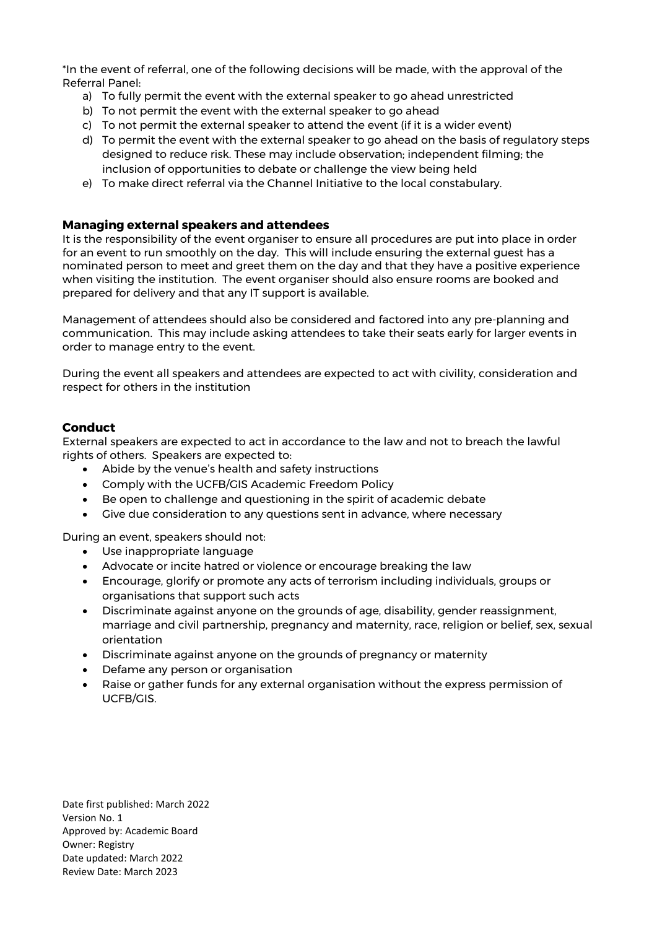\*In the event of referral, one of the following decisions will be made, with the approval of the Referral Panel:

- a) To fully permit the event with the external speaker to go ahead unrestricted
- b) To not permit the event with the external speaker to go ahead
- c) To not permit the external speaker to attend the event (if it is a wider event)
- d) To permit the event with the external speaker to go ahead on the basis of regulatory steps designed to reduce risk. These may include observation; independent filming; the inclusion of opportunities to debate or challenge the view being held
- e) To make direct referral via the Channel Initiative to the local constabulary.

#### <span id="page-4-0"></span>**Managing external speakers and attendees**

It is the responsibility of the event organiser to ensure all procedures are put into place in order for an event to run smoothly on the day. This will include ensuring the external guest has a nominated person to meet and greet them on the day and that they have a positive experience when visiting the institution. The event organiser should also ensure rooms are booked and prepared for delivery and that any IT support is available.

Management of attendees should also be considered and factored into any pre-planning and communication. This may include asking attendees to take their seats early for larger events in order to manage entry to the event.

During the event all speakers and attendees are expected to act with civility, consideration and respect for others in the institution

# <span id="page-4-1"></span>**Conduct**

External speakers are expected to act in accordance to the law and not to breach the lawful rights of others. Speakers are expected to:

- Abide by the venue's health and safety instructions
- Comply with the UCFB/GIS Academic Freedom Policy
- Be open to challenge and questioning in the spirit of academic debate
- Give due consideration to any questions sent in advance, where necessary

During an event, speakers should not:

- Use inappropriate language
- Advocate or incite hatred or violence or encourage breaking the law
- Encourage, glorify or promote any acts of terrorism including individuals, groups or organisations that support such acts
- Discriminate against anyone on the grounds of age, disability, gender reassignment, marriage and civil partnership, pregnancy and maternity, race, religion or belief, sex, sexual orientation
- Discriminate against anyone on the grounds of pregnancy or maternity
- Defame any person or organisation
- Raise or gather funds for any external organisation without the express permission of UCFB/GIS.